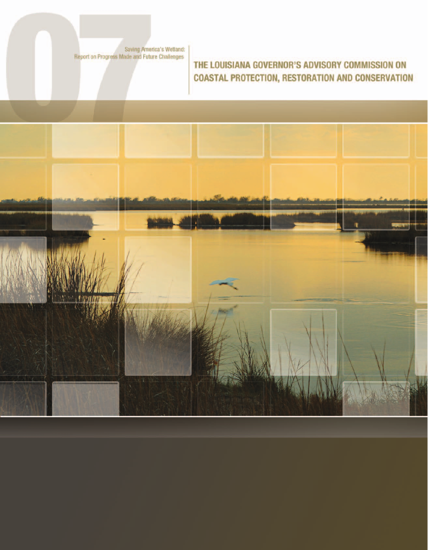Saving America's Wetland:<br>Report on Progress Made and Future Challenges

### THE LOUISIANA GOVERNOR'S ADVISORY COMMISSION ON **COASTAL PROTECTION, RESTORATION AND CONSERVATION**

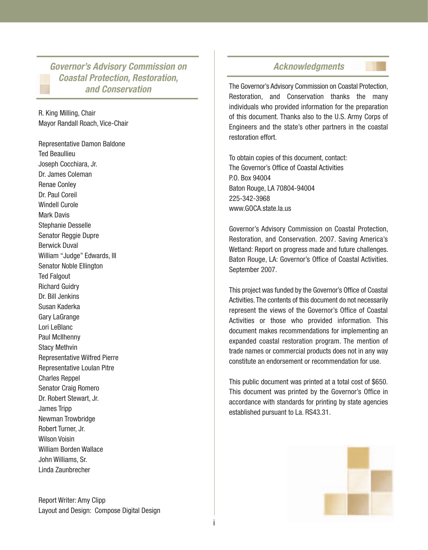**Governor's Advisory Commission on Coastal Protection, Restoration, and Conservation**

R. King Milling, Chair Mayor Randall Roach, Vice-Chair

Representative Damon Baldone Ted Beaullieu Joseph Cocchiara, Jr. Dr. James Coleman Renae Conley Dr. Paul Coreil Windell Curole Mark Davis Stephanie Desselle Senator Reggie Dupre Berwick Duval William "Judge" Edwards, III Senator Noble Ellington Ted Falgout Richard Guidry Dr. Bill Jenkins Susan Kaderka Gary LaGrange Lori LeBlanc Paul McIlhenny Stacy Methvin Representative Wilfred Pierre Representative Loulan Pitre Charles Reppel Senator Craig Romero Dr. Robert Stewart, Jr. James Tripp Newman Trowbridge Robert Turner, Jr. Wilson Voisin William Borden Wallace John Williams, Sr. Linda Zaunbrecher

Report Writer: Amy Clipp Layout and Design: Compose Digital Design

#### **Acknowledgments**

The Governor's Advisory Commission on Coastal Protection, Restoration, and Conservation thanks the many individuals who provided information for the preparation of this document. Thanks also to the U.S. Army Corps of Engineers and the state's other partners in the coastal restoration effort.

To obtain copies of this document, contact: The Governor's Office of Coastal Activities P.O. Box 94004 Baton Rouge, LA 70804-94004 225-342-3968 www.GOCA.state.la.us

Governor's Advisory Commission on Coastal Protection, Restoration, and Conservation. 2007. Saving America's Wetland: Report on progress made and future challenges. Baton Rouge, LA: Governor's Office of Coastal Activities. September 2007.

This project was funded by the Governor's Office of Coastal Activities. The contents of this document do not necessarily represent the views of the Governor's Office of Coastal Activities or those who provided information. This document makes recommendations for implementing an expanded coastal restoration program. The mention of trade names or commercial products does not in any way constitute an endorsement or recommendation for use.

This public document was printed at a total cost of \$650. This document was printed by the Governor's Office in accordance with standards for printing by state agencies established pursuant to La. RS43.31.

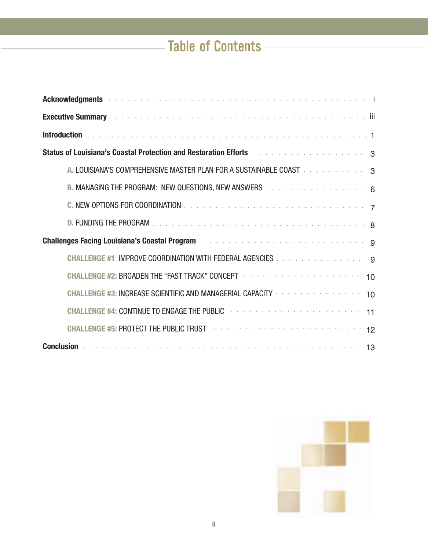# **Table of Contents**

| Acknowledgments and account of the contract of the contract of the contract of the contract of the contract of                                                                                                                      |
|-------------------------------------------------------------------------------------------------------------------------------------------------------------------------------------------------------------------------------------|
|                                                                                                                                                                                                                                     |
|                                                                                                                                                                                                                                     |
| Status of Louisiana's Coastal Protection and Restoration Efforts And Alberta Andrew Status and Status And Status                                                                                                                    |
| A. LOUISIANA'S COMPREHENSIVE MASTER PLAN FOR A SUSTAINABLE COAST And a series of a series of 3                                                                                                                                      |
| B. MANAGING THE PROGRAM: NEW QUESTIONS, NEW ANSWERS 6                                                                                                                                                                               |
|                                                                                                                                                                                                                                     |
|                                                                                                                                                                                                                                     |
| Challenges Facing Louisiana's Coastal Program And Albert Albert Albert Albert Albert Albert Albert Albert Alb                                                                                                                       |
| CHALLENGE #1: IMPROVE COORDINATION WITH FEDERAL AGENCIES 9                                                                                                                                                                          |
| CHALLENGE #2: BROADEN THE "FAST TRACK" CONCEPT A A A A A A A A A A A A A A A A A A 10                                                                                                                                               |
| CHALLENGE #3: INCREASE SCIENTIFIC AND MANAGERIAL CAPACITY And the service of the service of 10                                                                                                                                      |
| CHALLENGE #4: CONTINUE TO ENGAGE THE PUBLIC <b>Forman Program CHALLENGE #4:</b> CONTINUE TO ENGAGE THE PUBLIC                                                                                                                       |
| CHALLENGE #5: PROTECT THE PUBLIC TRUST And a contract the contract of the state of 12                                                                                                                                               |
| Conclusion <b>Production Concernation Concernation</b> Conclusion Concernation of the Concernation of the Concernation of the Concernation of the Concernation of the Concernation of the Concernation of the Concernation of the C |

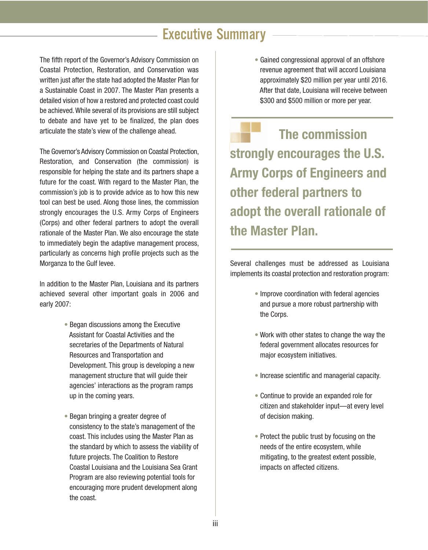## Executive Summary

The fifth report of the Governor's Advisory Commission on Coastal Protection, Restoration, and Conservation was written just after the state had adopted the Master Plan for a Sustainable Coast in 2007. The Master Plan presents a detailed vision of how a restored and protected coast could be achieved.While several of its provisions are still subject to debate and have yet to be finalized, the plan does articulate the state's view of the challenge ahead.

The Governor's Advisory Commission on Coastal Protection, Restoration, and Conservation (the commission) is responsible for helping the state and its partners shape a future for the coast. With regard to the Master Plan, the commission's job is to provide advice as to how this new tool can best be used. Along those lines, the commission strongly encourages the U.S. Army Corps of Engineers (Corps) and other federal partners to adopt the overall rationale of the Master Plan. We also encourage the state to immediately begin the adaptive management process, particularly as concerns high profile projects such as the Morganza to the Gulf levee.

In addition to the Master Plan, Louisiana and its partners achieved several other important goals in 2006 and early 2007:

- Began discussions among the Executive Assistant for Coastal Activities and the secretaries of the Departments of Natural Resources and Transportation and Development. This group is developing a new management structure that will guide their agencies' interactions as the program ramps up in the coming years.
- Began bringing a greater degree of consistency to the state's management of the coast. This includes using the Master Plan as the standard by which to assess the viability of future projects. The Coalition to Restore Coastal Louisiana and the Louisiana Sea Grant Program are also reviewing potential tools for encouraging more prudent development along the coast.

• Gained congressional approval of an offshore revenue agreement that will accord Louisiana approximately \$20 million per year until 2016. After that date, Louisiana will receive between \$300 and \$500 million or more per year.

**The commission strongly encourages the U.S. Army Corps of Engineers and other federal partners to adopt the overall rationale of the Master Plan.**

Several challenges must be addressed as Louisiana implements its coastal protection and restoration program:

- Improve coordination with federal agencies and pursue a more robust partnership with the Corps.
- Work with other states to change the way the federal government allocates resources for major ecosystem initiatives.
- Increase scientific and managerial capacity.
- Continue to provide an expanded role for citizen and stakeholder input—at every level of decision making.
- Protect the public trust by focusing on the needs of the entire ecosystem, while mitigating, to the greatest extent possible, impacts on affected citizens.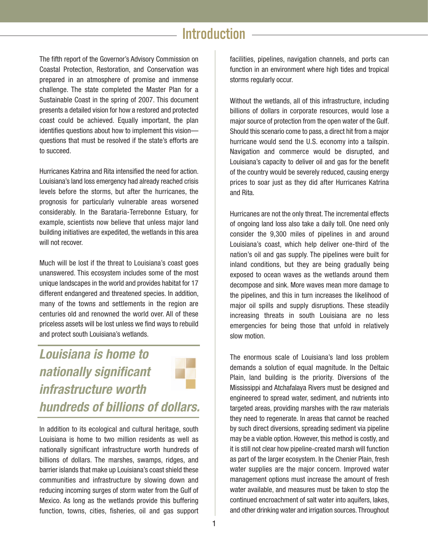### **Introduction**

The fifth report of the Governor's Advisory Commission on Coastal Protection, Restoration, and Conservation was prepared in an atmosphere of promise and immense challenge. The state completed the Master Plan for a Sustainable Coast in the spring of 2007. This document presents a detailed vision for how a restored and protected coast could be achieved. Equally important, the plan identifies questions about how to implement this vision questions that must be resolved if the state's efforts are to succeed.

Hurricanes Katrina and Rita intensified the need for action. Louisiana's land loss emergency had already reached crisis levels before the storms, but after the hurricanes, the prognosis for particularly vulnerable areas worsened considerably. In the Barataria-Terrebonne Estuary, for example, scientists now believe that unless major land building initiatives are expedited, the wetlands in this area will not recover.

Much will be lost if the threat to Louisiana's coast goes unanswered. This ecosystem includes some of the most unique landscapes in the world and provides habitat for 17 different endangered and threatened species. In addition, many of the towns and settlements in the region are centuries old and renowned the world over. All of these priceless assets will be lost unless we find ways to rebuild and protect south Louisiana's wetlands.

**Louisiana is home to nationally significant infrastructure worth hundreds of billions of dollars.**

In addition to its ecological and cultural heritage, south Louisiana is home to two million residents as well as nationally significant infrastructure worth hundreds of billions of dollars. The marshes, swamps, ridges, and barrier islands that make up Louisiana's coast shield these communities and infrastructure by slowing down and reducing incoming surges of storm water from the Gulf of Mexico. As long as the wetlands provide this buffering function, towns, cities, fisheries, oil and gas support facilities, pipelines, navigation channels, and ports can function in an environment where high tides and tropical storms regularly occur.

Without the wetlands, all of this infrastructure, including billions of dollars in corporate resources, would lose a major source of protection from the open water of the Gulf. Should this scenario come to pass, a direct hit from a major hurricane would send the U.S. economy into a tailspin. Navigation and commerce would be disrupted, and Louisiana's capacity to deliver oil and gas for the benefit of the country would be severely reduced, causing energy prices to soar just as they did after Hurricanes Katrina and Rita.

Hurricanes are not the only threat. The incremental effects of ongoing land loss also take a daily toll. One need only consider the 9,300 miles of pipelines in and around Louisiana's coast, which help deliver one-third of the nation's oil and gas supply. The pipelines were built for inland conditions, but they are being gradually being exposed to ocean waves as the wetlands around them decompose and sink. More waves mean more damage to the pipelines, and this in turn increases the likelihood of major oil spills and supply disruptions. These steadily increasing threats in south Louisiana are no less emergencies for being those that unfold in relatively slow motion.

The enormous scale of Louisiana's land loss problem demands a solution of equal magnitude. In the Deltaic Plain, land building is the priority. Diversions of the Mississippi and Atchafalaya Rivers must be designed and engineered to spread water, sediment, and nutrients into targeted areas, providing marshes with the raw materials they need to regenerate. In areas that cannot be reached by such direct diversions, spreading sediment via pipeline may be a viable option. However, this method is costly, and it is still not clear how pipeline-created marsh will function as part of the larger ecosystem. In the Chenier Plain, fresh water supplies are the major concern. Improved water management options must increase the amount of fresh water available, and measures must be taken to stop the continued encroachment of salt water into aquifers, lakes, and other drinking water and irrigation sources. Throughout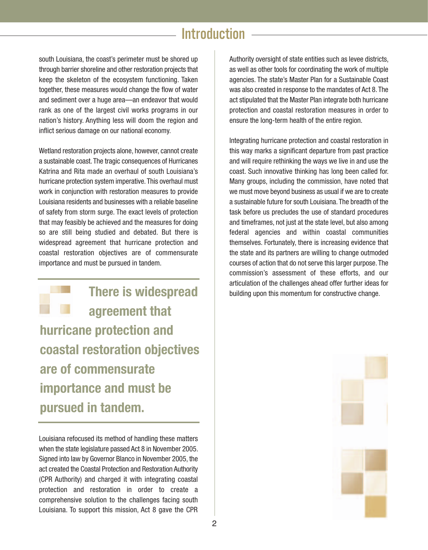### **Introduction**

south Louisiana, the coast's perimeter must be shored up through barrier shoreline and other restoration projects that keep the skeleton of the ecosystem functioning. Taken together, these measures would change the flow of water and sediment over a huge area—an endeavor that would rank as one of the largest civil works programs in our nation's history. Anything less will doom the region and inflict serious damage on our national economy.

Wetland restoration projects alone, however, cannot create a sustainable coast. The tragic consequences of Hurricanes Katrina and Rita made an overhaul of south Louisiana's hurricane protection system imperative. This overhaul must work in conjunction with restoration measures to provide Louisiana residents and businesses with a reliable baseline of safety from storm surge. The exact levels of protection that may feasibly be achieved and the measures for doing so are still being studied and debated. But there is widespread agreement that hurricane protection and coastal restoration objectives are of commensurate importance and must be pursued in tandem.

**There is widespread agreement that hurricane protection and coastal restoration objectives are of commensurate importance and must be pursued in tandem.**

Louisiana refocused its method of handling these matters when the state legislature passed Act 8 in November 2005. Signed into law by Governor Blanco in November 2005, the act created the Coastal Protection and Restoration Authority (CPR Authority) and charged it with integrating coastal protection and restoration in order to create a comprehensive solution to the challenges facing south Louisiana. To support this mission, Act 8 gave the CPR

Authority oversight of state entities such as levee districts, as well as other tools for coordinating the work of multiple agencies. The state's Master Plan for a Sustainable Coast was also created in response to the mandates of Act 8. The act stipulated that the Master Plan integrate both hurricane protection and coastal restoration measures in order to ensure the long-term health of the entire region.

Integrating hurricane protection and coastal restoration in this way marks a significant departure from past practice and will require rethinking the ways we live in and use the coast. Such innovative thinking has long been called for. Many groups, including the commission, have noted that we must move beyond business as usual if we are to create a sustainable future for south Louisiana. The breadth of the task before us precludes the use of standard procedures and timeframes, not just at the state level, but also among federal agencies and within coastal communities themselves. Fortunately, there is increasing evidence that the state and its partners are willing to change outmoded courses of action that do not serve this larger purpose. The commission's assessment of these efforts, and our articulation of the challenges ahead offer further ideas for building upon this momentum for constructive change.

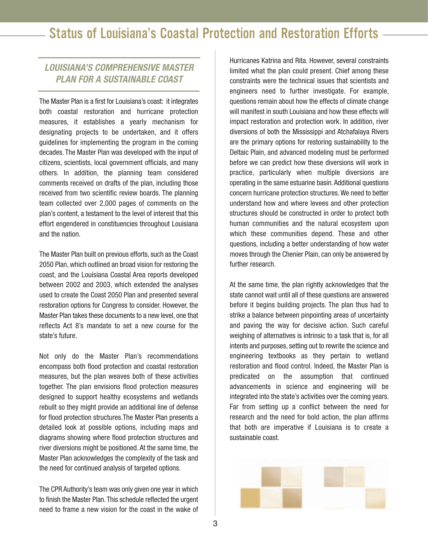### **LOUISIANA'S COMPREHENSIVE MASTER PLAN FOR A SUSTAINABLE COAST**

The Master Plan is a first for Louisiana's coast: it integrates both coastal restoration and hurricane protection measures, it establishes a yearly mechanism for designating projects to be undertaken, and it offers guidelines for implementing the program in the coming decades. The Master Plan was developed with the input of citizens, scientists, local government officials, and many others. In addition, the planning team considered comments received on drafts of the plan, including those received from two scientific review boards. The planning team collected over 2,000 pages of comments on the plan's content, a testament to the level of interest that this effort engendered in constituencies throughout Louisiana and the nation.

The Master Plan built on previous efforts, such as the Coast 2050 Plan, which outlined an broad vision for restoring the coast, and the Louisiana Coastal Area reports developed between 2002 and 2003, which extended the analyses used to create the Coast 2050 Plan and presented several restoration options for Congress to consider. However, the Master Plan takes these documents to a new level, one that reflects Act 8's mandate to set a new course for the state's future.

Not only do the Master Plan's recommendations encompass both flood protection and coastal restoration measures, but the plan weaves both of these activities together. The plan envisions flood protection measures designed to support healthy ecosystems and wetlands rebuilt so they might provide an additional line of defense for flood protection structures.The Master Plan presents a detailed look at possible options, including maps and diagrams showing where flood protection structures and river diversions might be positioned. At the same time, the Master Plan acknowledges the complexity of the task and the need for continued analysis of targeted options.

The CPR Authority's team was only given one year in which to finish the Master Plan. This schedule reflected the urgent need to frame a new vision for the coast in the wake of

Hurricanes Katrina and Rita. However, several constraints limited what the plan could present. Chief among these constraints were the technical issues that scientists and engineers need to further investigate. For example, questions remain about how the effects of climate change will manifest in south Louisiana and how these effects will impact restoration and protection work. In addition, river diversions of both the Mississippi and Atchafalaya Rivers are the primary options for restoring sustainability to the Deltaic Plain, and advanced modeling must be performed before we can predict how these diversions will work in practice, particularly when multiple diversions are operating in the same estuarine basin. Additional questions concern hurricane protection structures.We need to better understand how and where levees and other protection structures should be constructed in order to protect both human communities and the natural ecosystem upon which these communities depend. These and other questions, including a better understanding of how water moves through the Chenier Plain, can only be answered by further research.

At the same time, the plan rightly acknowledges that the state cannot wait until all of these questions are answered before it begins building projects. The plan thus had to strike a balance between pinpointing areas of uncertainty and paving the way for decisive action. Such careful weighing of alternatives is intrinsic to a task that is, for all intents and purposes, setting out to rewrite the science and engineering textbooks as they pertain to wetland restoration and flood control. Indeed, the Master Plan is predicated on the assumption that continued advancements in science and engineering will be integrated into the state's activities over the coming years. Far from setting up a conflict between the need for research and the need for bold action, the plan affirms that both are imperative if Louisiana is to create a sustainable coast.

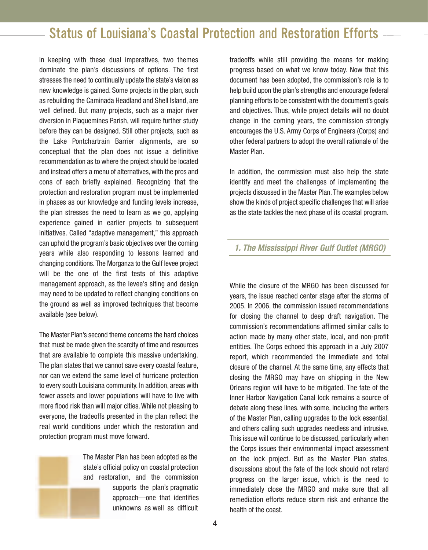In keeping with these dual imperatives, two themes dominate the plan's discussions of options. The first stresses the need to continually update the state's vision as new knowledge is gained. Some projects in the plan, such as rebuilding the Caminada Headland and Shell Island, are well defined. But many projects, such as a major river diversion in Plaquemines Parish, will require further study before they can be designed. Still other projects, such as the Lake Pontchartrain Barrier alignments, are so conceptual that the plan does not issue a definitive recommendation as to where the project should be located and instead offers a menu of alternatives, with the pros and cons of each briefly explained. Recognizing that the protection and restoration program must be implemented in phases as our knowledge and funding levels increase, the plan stresses the need to learn as we go, applying experience gained in earlier projects to subsequent initiatives. Called "adaptive management," this approach can uphold the program's basic objectives over the coming years while also responding to lessons learned and changing conditions. The Morganza to the Gulf levee project will be the one of the first tests of this adaptive management approach, as the levee's siting and design may need to be updated to reflect changing conditions on the ground as well as improved techniques that become available (see below).

The Master Plan's second theme concerns the hard choices that must be made given the scarcity of time and resources that are available to complete this massive undertaking. The plan states that we cannot save every coastal feature, nor can we extend the same level of hurricane protection to every south Louisiana community. In addition, areas with fewer assets and lower populations will have to live with more flood risk than will major cities.While not pleasing to everyone, the tradeoffs presented in the plan reflect the real world conditions under which the restoration and protection program must move forward.

> The Master Plan has been adopted as the state's official policy on coastal protection and restoration, and the commission supports the plan's pragmatic approach—one that identifies unknowns as well as difficult

tradeoffs while still providing the means for making progress based on what we know today. Now that this document has been adopted, the commission's role is to help build upon the plan's strengths and encourage federal planning efforts to be consistent with the document's goals and objectives. Thus, while project details will no doubt change in the coming years, the commission strongly encourages the U.S. Army Corps of Engineers (Corps) and other federal partners to adopt the overall rationale of the Master Plan.

In addition, the commission must also help the state identify and meet the challenges of implementing the projects discussed in the Master Plan. The examples below show the kinds of project specific challenges that will arise as the state tackles the next phase of its coastal program.

#### **1. The Mississippi River Gulf Outlet (MRGO)**

While the closure of the MRGO has been discussed for years, the issue reached center stage after the storms of 2005. In 2006, the commission issued recommendations for closing the channel to deep draft navigation. The commission's recommendations affirmed similar calls to action made by many other state, local, and non-profit entities. The Corps echoed this approach in a July 2007 report, which recommended the immediate and total closure of the channel. At the same time, any effects that closing the MRGO may have on shipping in the New Orleans region will have to be mitigated. The fate of the Inner Harbor Navigation Canal lock remains a source of debate along these lines, with some, including the writers of the Master Plan, calling upgrades to the lock essential, and others calling such upgrades needless and intrusive. This issue will continue to be discussed, particularly when the Corps issues their environmental impact assessment on the lock project. But as the Master Plan states, discussions about the fate of the lock should not retard progress on the larger issue, which is the need to immediately close the MRGO and make sure that all remediation efforts reduce storm risk and enhance the health of the coast.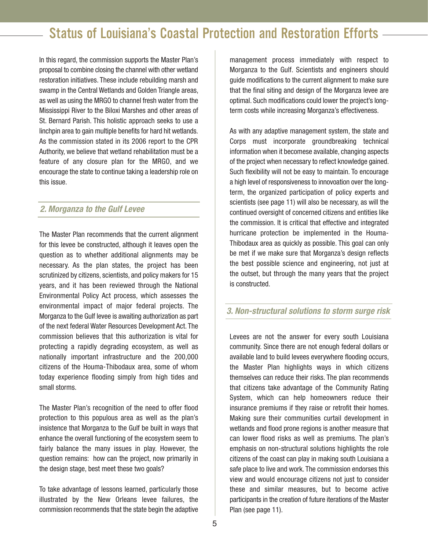In this regard, the commission supports the Master Plan's proposal to combine closing the channel with other wetland restoration initiatives. These include rebuilding marsh and swamp in the Central Wetlands and Golden Triangle areas. as well as using the MRGO to channel fresh water from the Mississippi River to the Biloxi Marshes and other areas of St. Bernard Parish. This holistic approach seeks to use a linchpin area to gain multiple benefits for hard hit wetlands. As the commission stated in its 2006 report to the CPR Authority, we believe that wetland rehabilitation must be a feature of any closure plan for the MRGO, and we encourage the state to continue taking a leadership role on this issue.

### **2. Morganza to the Gulf Levee**

The Master Plan recommends that the current alignment for this levee be constructed, although it leaves open the question as to whether additional alignments may be necessary. As the plan states, the project has been scrutinized by citizens, scientists, and policy makers for 15 years, and it has been reviewed through the National Environmental Policy Act process, which assesses the environmental impact of major federal projects. The Morganza to the Gulf levee is awaiting authorization as part of the next federal Water Resources Development Act. The commission believes that this authorization is vital for protecting a rapidly degrading ecosystem, as well as nationally important infrastructure and the 200,000 citizens of the Houma-Thibodaux area, some of whom today experience flooding simply from high tides and small storms.

The Master Plan's recognition of the need to offer flood protection to this populous area as well as the plan's insistence that Morganza to the Gulf be built in ways that enhance the overall functioning of the ecosystem seem to fairly balance the many issues in play. However, the question remains: how can the project, now primarily in the design stage, best meet these two goals?

To take advantage of lessons learned, particularly those illustrated by the New Orleans levee failures, the commission recommends that the state begin the adaptive

management process immediately with respect to Morganza to the Gulf. Scientists and engineers should guide modifications to the current alignment to make sure that the final siting and design of the Morganza levee are optimal. Such modifications could lower the project's longterm costs while increasing Morganza's effectiveness.

As with any adaptive management system, the state and Corps must incorporate groundbreaking technical information when it becomese available, changing aspects of the project when necessary to reflect knowledge gained. Such flexibility will not be easy to maintain. To encourage a high level of responsiveness to innovoation over the longterm, the organized participation of policy experts and scientists (see page 11) will also be necessary, as will the continued oversight of concerned citizens and entities like the commission. It is critical that effective and integrated hurricane protection be implemented in the Houma-Thibodaux area as quickly as possible. This goal can only be met if we make sure that Morganza's design reflects the best possible science and engineering, not just at the outset, but through the many years that the project is constructed.

### **3. Non-structural solutions to storm surge risk**

Levees are not the answer for every south Louisiana community. Since there are not enough federal dollars or available land to build levees everywhere flooding occurs, the Master Plan highlights ways in which citizens themselves can reduce their risks. The plan recommends that citizens take advantage of the Community Rating System, which can help homeowners reduce their insurance premiums if they raise or retrofit their homes. Making sure their communities curtail development in wetlands and flood prone regions is another measure that can lower flood risks as well as premiums. The plan's emphasis on non-structural solutions highlights the role citizens of the coast can play in making south Louisiana a safe place to live and work. The commission endorses this view and would encourage citizens not just to consider these and similar measures, but to become active participants in the creation of future iterations of the Master Plan (see page 11).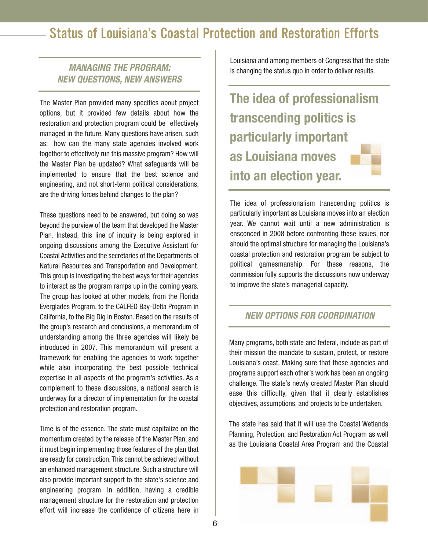### **MANAGING THE PROGRAM: NEW QUESTIONS, NEW ANSWERS**

The Master Plan provided many specifics about project options, but it provided few details about how the restoration and protection program could be effectively managed in the future. Many questions have arisen, such as: how can the many state agencies involved work together to effectively run this massive program? How will the Master Plan be updated? What safeguards will be implemented to ensure that the best science and engineering, and not short-term political considerations, are the driving forces behind changes to the plan?

These questions need to be answered, but doing so was beyond the purview of the team that developed the Master Plan. Instead, this line of inquiry is being explored in ongoing discussions among the Executive Assistant for Coastal Activities and the secretaries of the Departments of Natural Resources and Transportation and Development. This group is investigating the best ways for their agencies to interact as the program ramps up in the coming years. The group has looked at other models, from the Florida Everglades Program, to the CALFED Bay-Delta Program in California, to the Big Dig in Boston. Based on the results of the group's research and conclusions, a memorandum of understanding among the three agencies will likely be introduced in 2007. This memorandum will present a framework for enabling the agencies to work together while also incorporating the best possible technical expertise in all aspects of the program's activities. As a complement to these discussions, a national search is underway for a director of implementation for the coastal protection and restoration program.

Time is of the essence. The state must capitalize on the momentum created by the release of the Master Plan, and it must begin implementing those features of the plan that are ready for construction. This cannot be achieved without an enhanced management structure. Such a structure will also provide important support to the state's science and engineering program. In addition, having a credible management structure for the restoration and protection effort will increase the confidence of citizens here in Louisiana and among members of Congress that the state is changing the status quo in order to deliver results.

**The idea of professionalism transcending politics is particularly important as Louisiana moves into an election year.**

The idea of professionalism transcending politics is particularly important as Louisiana moves into an election year. We cannot wait until a new administration is ensconced in 2008 before confronting these issues, nor should the optimal structure for managing the Louisiana's coastal protection and restoration program be subject to political gamesmanship. For these reasons, the commission fully supports the discussions now underway to improve the state's managerial capacity.

#### **NEW OPTIONS FOR COORDINATION**

Many programs, both state and federal, include as part of their mission the mandate to sustain, protect, or restore Louisiana's coast. Making sure that these agencies and programs support each other's work has been an ongoing challenge. The state's newly created Master Plan should ease this difficulty, given that it clearly establishes objectives, assumptions, and projects to be undertaken.

The state has said that it will use the Coastal Wetlands Planning, Protection, and Restoration Act Program as well as the Louisiana Coastal Area Program and the Coastal

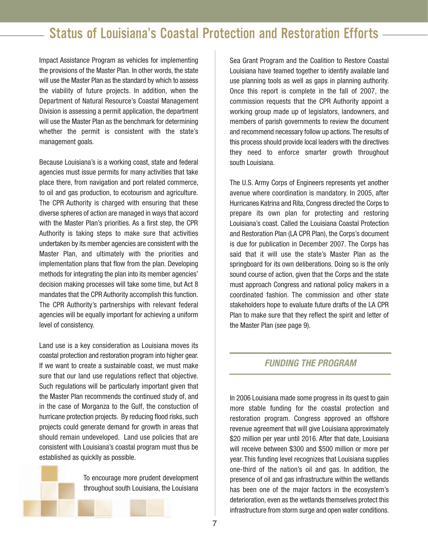Impact Assistance Program as vehicles for implementing the provisions of the Master Plan. In other words, the state will use the Master Plan as the standard by which to assess the viability of future projects. In addition, when the Department of Natural Resource's Coastal Management Division is assessing a permit application, the department will use the Master Plan as the benchmark for determining whether the permit is consistent with the state's management goals.

Because Louisiana's is a working coast, state and federal agencies must issue permits for many activities that take place there, from navigation and port related commerce, to oil and gas production, to ecotourism and agriculture. The CPR Authority is charged with ensuring that these diverse spheres of action are managed in ways that accord with the Master Plan's priorities. As a first step, the CPR Authority is taking steps to make sure that activities undertaken by its member agencies are consistent with the Master Plan, and ultimately with the priorities and implementation plans that flow from the plan. Developing methods for integrating the plan into its member agencies' decision making processes will take some time, but Act 8 mandates that the CPR Authority accomplish this function. The CPR Authority's partnerships with relevant federal agencies will be equally important for achieving a uniform level of consistency.

Land use is a key consideration as Louisiana moves its coastal protection and restoration program into higher gear. If we want to create a sustainable coast, we must make sure that our land use regulations reflect that objective. Such regulations will be particularly important given that the Master Plan recommends the continued study of, and in the case of Morganza to the Gulf, the constuction of hurricane protection projects. By reducing flood risks, such projects could generate demand for growth in areas that should remain undeveloped. Land use policies that are consistent with Louisiana's coastal program must thus be established as quicklly as possible.

> To encourage more prudent development throughout south Louisiana, the Louisiana

Sea Grant Program and the Coalition to Restore Coastal Louisiana have teamed together to identify available land use planning tools as well as gaps in planning authority. Once this report is complete in the fall of 2007, the commission requests that the CPR Authority appoint a working group made up of legislators, landowners, and members of parish governments to review the document and recommend necessary follow up actions. The results of this process should provide local leaders with the directives they need to enforce smarter growth throughout south Louisiana.

The U.S. Army Corps of Engineers represents yet another avenue where coordination is mandatory. In 2005, after Hurricanes Katrina and Rita, Congress directed the Corps to prepare its own plan for protecting and restoring Louisiana's coast. Called the Louisiana Coastal Protection and Restoration Plan (LA CPR Plan), the Corps's document is due for publication in December 2007. The Corps has said that it will use the state's Master Plan as the springboard for its own deliberations. Doing so is the only sound course of action, given that the Corps and the state must approach Congress and national policy makers in a coordinated fashion. The commission and other state stakeholders hope to evaluate future drafts of the LA CPR Plan to make sure that they reflect the spirit and letter of the Master Plan (see page 9).

#### **FUNDING THE PROGRAM**

In 2006 Louisiana made some progress in its quest to gain more stable funding for the coastal protection and restoration program. Congress approved an offshore revenue agreement that will give Louisiana approximately \$20 million per year until 2016. After that date, Louisiana will receive between \$300 and \$500 million or more per year. This funding level recognizes that Louisiana supplies one-third of the nation's oil and gas. In addition, the presence of oil and gas infrastructure within the wetlands has been one of the major factors in the ecosystem's deterioration, even as the wetlands themselves protect this infrastructure from storm surge and open water conditions.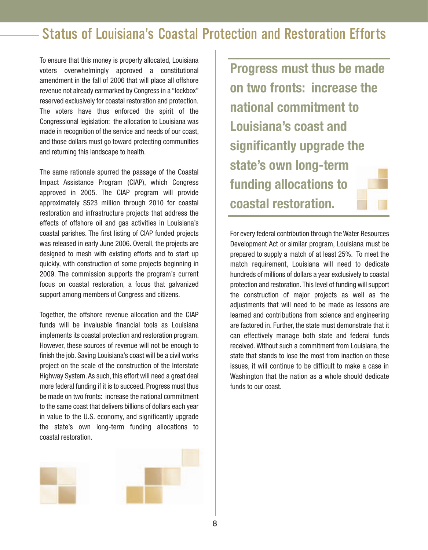To ensure that this money is properly allocated, Louisiana voters overwhelmingly approved a constitutional amendment in the fall of 2006 that will place all offshore revenue not already earmarked by Congress in a "lockbox" reserved exclusively for coastal restoration and protection. The voters have thus enforced the spirit of the Congressional legislation: the allocation to Louisiana was made in recognition of the service and needs of our coast, and those dollars must go toward protecting communities and returning this landscape to health.

The same rationale spurred the passage of the Coastal Impact Assistance Program (CIAP), which Congress approved in 2005. The CIAP program will provide approximately \$523 million through 2010 for coastal restoration and infrastructure projects that address the effects of offshore oil and gas activities in Louisiana's coastal parishes. The first listing of CIAP funded projects was released in early June 2006. Overall, the projects are designed to mesh with existing efforts and to start up quickly, with construction of some projects beginning in 2009. The commission supports the program's current focus on coastal restoration, a focus that galvanized support among members of Congress and citizens.

Together, the offshore revenue allocation and the CIAP funds will be invaluable financial tools as Louisiana implements its coastal protection and restoration program. However, these sources of revenue will not be enough to finish the job. Saving Louisiana's coast will be a civil works project on the scale of the construction of the Interstate Highway System. As such, this effort will need a great deal more federal funding if it is to succeed. Progress must thus be made on two fronts: increase the national commitment to the same coast that delivers billions of dollars each year in value to the U.S. economy, and significantly upgrade the state's own long-term funding allocations to coastal restoration.



**Progress must thus be made on two fronts: increase the national commitment to Louisiana's coast and significantly upgrade the state's own long-term funding allocations to coastal restoration.**

For every federal contribution through the Water Resources Development Act or similar program, Louisiana must be prepared to supply a match of at least 25%. To meet the match requirement, Louisiana will need to dedicate hundreds of millions of dollars a year exclusively to coastal protection and restoration. This level of funding will support the construction of major projects as well as the adjustments that will need to be made as lessons are learned and contributions from science and engineering are factored in. Further, the state must demonstrate that it can effectively manage both state and federal funds received. Without such a commitment from Louisiana, the state that stands to lose the most from inaction on these issues, it will continue to be difficult to make a case in Washington that the nation as a whole should dedicate funds to our coast.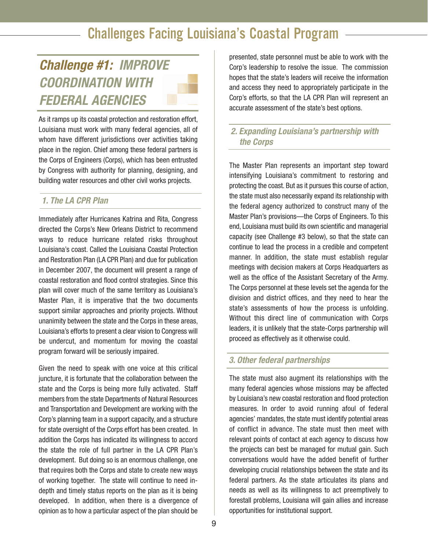## **Challenge #1: IMPROVE COORDINATION WITH FEDERAL AGENCIES**

As it ramps up its coastal protection and restoration effort, Louisiana must work with many federal agencies, all of whom have different jurisdictions over activities taking place in the region. Chief among these federal partners is the Corps of Engineers (Corps), which has been entrusted by Congress with authority for planning, designing, and building water resources and other civil works projects.

### **1. The LA CPR Plan**

Immediately after Hurricanes Katrina and Rita, Congress directed the Corps's New Orleans District to recommend ways to reduce hurricane related risks throughout Louisiana's coast. Called the Louisiana Coastal Protection and Restoration Plan (LA CPR Plan) and due for publication in December 2007, the document will present a range of coastal restoration and flood control strategies. Since this plan will cover much of the same territory as Louisiana's Master Plan, it is imperative that the two documents support similar approaches and priority projects. Without unanimity between the state and the Corps in these areas, Louisiana's efforts to present a clear vision to Congress will be undercut, and momentum for moving the coastal program forward will be seriously impaired.

Given the need to speak with one voice at this critical juncture, it is fortunate that the collaboration between the state and the Corps is being more fully activated. Staff members from the state Departments of Natural Resources and Transportation and Development are working with the Corp's planning team in a support capacity, and a structure for state oversight of the Corps effort has been created. In addition the Corps has indicated its willingness to accord the state the role of full partner in the LA CPR Plan's development. But doing so is an enormous challenge, one that requires both the Corps and state to create new ways of working together. The state will continue to need indepth and timely status reports on the plan as it is being developed. In addition, when there is a divergence of opinion as to how a particular aspect of the plan should be

presented, state personnel must be able to work with the Corp's leadership to resolve the issue. The commission hopes that the state's leaders will receive the information and access they need to appropriately participate in the Corp's efforts, so that the LA CPR Plan will represent an accurate assessment of the state's best options.

### **2. Expanding Louisiana's partnership with the Corps**

The Master Plan represents an important step toward intensifying Louisiana's commitment to restoring and protecting the coast. But as it pursues this course of action, the state must also necessarily expand its relationship with the federal agency authorized to construct many of the Master Plan's provisions—the Corps of Engineers. To this end, Louisiana must build its own scientific and managerial capacity (see Challenge #3 below), so that the state can continue to lead the process in a credible and competent manner. In addition, the state must establish regular meetings with decision makers at Corps Headquarters as well as the office of the Assistant Secretary of the Army. The Corps personnel at these levels set the agenda for the division and district offices, and they need to hear the state's assessments of how the process is unfolding. Without this direct line of communication with Corps leaders, it is unlikely that the state-Corps partnership will proceed as effectively as it otherwise could.

#### **3. Other federal partnerships**

The state must also augment its relationships with the many federal agencies whose missions may be affected by Louisiana's new coastal restoration and flood protection measures. In order to avoid running afoul of federal agencies' mandates, the state must identify potential areas of conflict in advance. The state must then meet with relevant points of contact at each agency to discuss how the projects can best be managed for mutual gain. Such conversations would have the added benefit of further developing crucial relationships between the state and its federal partners. As the state articulates its plans and needs as well as its willingness to act preemptively to forestall problems, Louisiana will gain allies and increase opportunities for institutional support.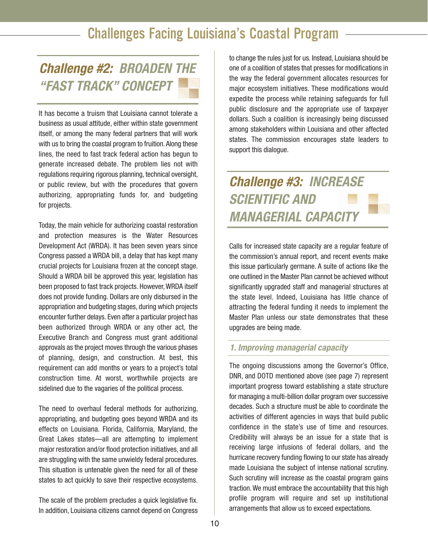## **Challenge #2: BROADEN THE "FAST TRACK" CONCEPT**

It has become a truism that Louisiana cannot tolerate a business as usual attitude, either within state government itself, or among the many federal partners that will work with us to bring the coastal program to fruition. Along these lines, the need to fast track federal action has begun to generate increased debate. The problem lies not with regulations requiring rigorous planning, technical oversight, or public review, but with the procedures that govern authorizing, appropriating funds for, and budgeting for projects.

Today, the main vehicle for authorizing coastal restoration and protection measures is the Water Resources Development Act (WRDA). It has been seven years since Congress passed a WRDA bill, a delay that has kept many crucial projects for Louisiana frozen at the concept stage. Should a WRDA bill be approved this year, legislation has been proposed to fast track projects. However, WRDA itself does not provide funding. Dollars are only disbursed in the appropriation and budgeting stages, during which projects encounter further delays. Even after a particular project has been authorized through WRDA or any other act, the Executive Branch and Congress must grant additional approvals as the project moves through the various phases of planning, design, and construction. At best, this requirement can add months or years to a project's total construction time. At worst, worthwhile projects are sidelined due to the vagaries of the political process.

The need to overhaul federal methods for authorizing, appropriating, and budgeting goes beyond WRDA and its effects on Louisiana. Florida, California, Maryland, the Great Lakes states—all are attempting to implement major restoration and/or flood protection initiatives, and all are struggling with the same unwieldy federal procedures. This situation is untenable given the need for all of these states to act quickly to save their respective ecosystems.

The scale of the problem precludes a quick legislative fix. In addition, Louisiana citizens cannot depend on Congress

to change the rules just for us. Instead, Louisiana should be one of a coalition of states that presses for modifications in the way the federal government allocates resources for major ecosystem initiatives. These modifications would expedite the process while retaining safeguards for full public disclosure and the appropriate use of taxpayer dollars. Such a coalition is increasingly being discussed among stakeholders within Louisiana and other affected states. The commission encourages state leaders to support this dialogue.

## **Challenge #3: INCREASE SCIENTIFIC AND MANAGERIAL CAPACITY**

Calls for increased state capacity are a regular feature of the commission's annual report, and recent events make this issue particularly germane. A suite of actions like the one outlined in the Master Plan cannot be achieved without significantly upgraded staff and managerial structures at the state level. Indeed, Louisiana has little chance of attracting the federal funding it needs to implement the Master Plan unless our state demonstrates that these upgrades are being made.

#### **1. Improving managerial capacity**

The ongoing discussions among the Governor's Office, DNR, and DOTD mentioned above (see page 7) represent important progress toward establishing a state structure for managing a multi-billion dollar program over successive decades. Such a structure must be able to coordinate the activities of different agencies in ways that build public confidence in the state's use of time and resources. Credibility will always be an issue for a state that is receiving large infusions of federal dollars, and the hurricane recovery funding flowing to our state has already made Louisiana the subject of intense national scrutiny. Such scrutiny will increase as the coastal program gains traction.We must embrace the accountability that this high profile program will require and set up institutional arrangements that allow us to exceed expectations.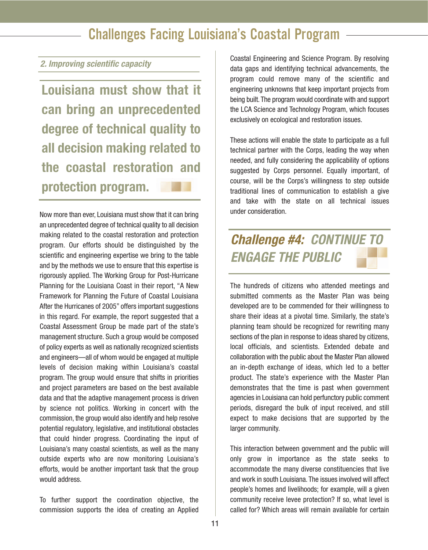#### **2. Improving scientific capacity**

**Louisiana must show that it can bring an unprecedented degree of technical quality to all decision making related to the coastal restoration and protection program.**

Now more than ever, Louisiana must show that it can bring an unprecedented degree of technical quality to all decision making related to the coastal restoration and protection program. Our efforts should be distinguished by the scientific and engineering expertise we bring to the table and by the methods we use to ensure that this expertise is rigorously applied. The Working Group for Post-Hurricane Planning for the Louisiana Coast in their report, "A New Framework for Planning the Future of Coastal Louisiana After the Hurricanes of 2005" offers important suggestions in this regard. For example, the report suggested that a Coastal Assessment Group be made part of the state's management structure. Such a group would be composed of policy experts as well as nationally recognized scientists and engineers—all of whom would be engaged at multiple levels of decision making within Louisiana's coastal program. The group would ensure that shifts in priorities and project parameters are based on the best available data and that the adaptive management process is driven by science not politics. Working in concert with the commission, the group would also identify and help resolve potential regulatory, legislative, and institutional obstacles that could hinder progress. Coordinating the input of Louisiana's many coastal scientists, as well as the many outside experts who are now monitoring Louisiana's efforts, would be another important task that the group would address.

To further support the coordination objective, the commission supports the idea of creating an Applied

Coastal Engineering and Science Program. By resolving data gaps and identifying technical advancements, the program could remove many of the scientific and engineering unknowns that keep important projects from being built. The program would coordinate with and support the LCA Science and Technology Program, which focuses exclusively on ecological and restoration issues.

These actions will enable the state to participate as a full technical partner with the Corps, leading the way when needed, and fully considering the applicability of options suggested by Corps personnel. Equally important, of course, will be the Corps's willingness to step outside traditional lines of communication to establish a give and take with the state on all technical issues under consideration.

## **Challenge #4: CONTINUE TO ENGAGE THE PUBLIC**

The hundreds of citizens who attended meetings and submitted comments as the Master Plan was being developed are to be commended for their willingness to share their ideas at a pivotal time. Similarly, the state's planning team should be recognized for rewriting many sections of the plan in response to ideas shared by citizens, local officials, and scientists. Extended debate and collaboration with the public about the Master Plan allowed an in-depth exchange of ideas, which led to a better product. The state's experience with the Master Plan demonstrates that the time is past when government agencies in Louisiana can hold perfunctory public comment periods, disregard the bulk of input received, and still expect to make decisions that are supported by the larger community.

This interaction between government and the public will only grow in importance as the state seeks to accommodate the many diverse constituencies that live and work in south Louisiana. The issues involved will affect people's homes and livelihoods; for example, will a given community receive levee protection? If so, what level is called for? Which areas will remain available for certain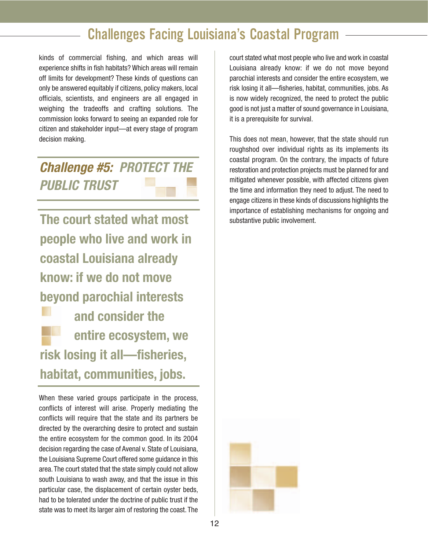kinds of commercial fishing, and which areas will experience shifts in fish habitats? Which areas will remain off limits for development? These kinds of questions can only be answered equitably if citizens, policy makers, local officials, scientists, and engineers are all engaged in weighing the tradeoffs and crafting solutions. The commission looks forward to seeing an expanded role for citizen and stakeholder input—at every stage of program decision making.

**Challenge #5: PROTECT THE PUBLIC TRUST**

**The court stated what most people who live and work in coastal Louisiana already know: if we do not move beyond parochial interests and consider the entire ecosystem, we risk losing it all—fisheries, habitat, communities, jobs.**

When these varied groups participate in the process, conflicts of interest will arise. Properly mediating the conflicts will require that the state and its partners be directed by the overarching desire to protect and sustain the entire ecosystem for the common good. In its 2004 decision regarding the case of Avenal v. State of Louisiana, the Louisiana Supreme Court offered some guidance in this area. The court stated that the state simply could not allow south Louisiana to wash away, and that the issue in this particular case, the displacement of certain oyster beds, had to be tolerated under the doctrine of public trust if the state was to meet its larger aim of restoring the coast. The

court stated what most people who live and work in coastal Louisiana already know: if we do not move beyond parochial interests and consider the entire ecosystem, we risk losing it all—fisheries, habitat, communities, jobs. As is now widely recognized, the need to protect the public good is not just a matter of sound governance in Louisiana, it is a prerequisite for survival.

This does not mean, however, that the state should run roughshod over individual rights as its implements its coastal program. On the contrary, the impacts of future restoration and protection projects must be planned for and mitigated whenever possible, with affected citizens given the time and information they need to adjust. The need to engage citizens in these kinds of discussions highlights the importance of establishing mechanisms for ongoing and substantive public involvement.